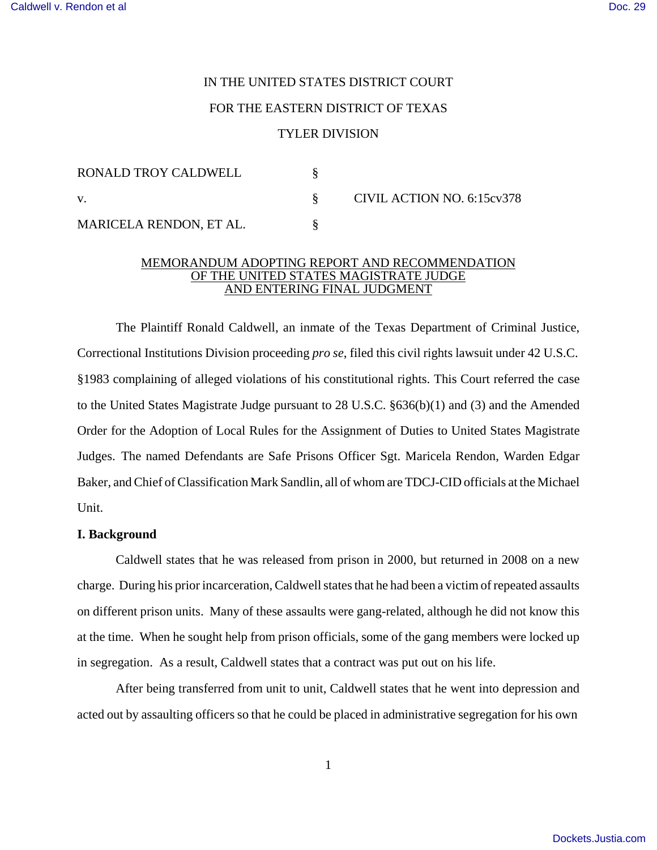# IN THE UNITED STATES DISTRICT COURT

### FOR THE EASTERN DISTRICT OF TEXAS

### TYLER DIVISION

| RONALD TROY CALDWELL    |  | CIVIL ACTION NO. 6:15cv378 |
|-------------------------|--|----------------------------|
| V.                      |  |                            |
| MARICELA RENDON, ET AL. |  |                            |

### MEMORANDUM ADOPTING REPORT AND RECOMMENDATION OF THE UNITED STATES MAGISTRATE JUDGE AND ENTERING FINAL JUDGMENT

The Plaintiff Ronald Caldwell, an inmate of the Texas Department of Criminal Justice, Correctional Institutions Division proceeding *pro se*, filed this civil rights lawsuit under 42 U.S.C. §1983 complaining of alleged violations of his constitutional rights. This Court referred the case to the United States Magistrate Judge pursuant to 28 U.S.C. §636(b)(1) and (3) and the Amended Order for the Adoption of Local Rules for the Assignment of Duties to United States Magistrate Judges. The named Defendants are Safe Prisons Officer Sgt. Maricela Rendon, Warden Edgar Baker, and Chief of Classification Mark Sandlin, all of whom are TDCJ-CID officials at the Michael Unit.

### **I. Background**

Caldwell states that he was released from prison in 2000, but returned in 2008 on a new charge. During his prior incarceration, Caldwell states that he had been a victim of repeated assaults on different prison units. Many of these assaults were gang-related, although he did not know this at the time. When he sought help from prison officials, some of the gang members were locked up in segregation. As a result, Caldwell states that a contract was put out on his life.

After being transferred from unit to unit, Caldwell states that he went into depression and acted out by assaulting officers so that he could be placed in administrative segregation for his own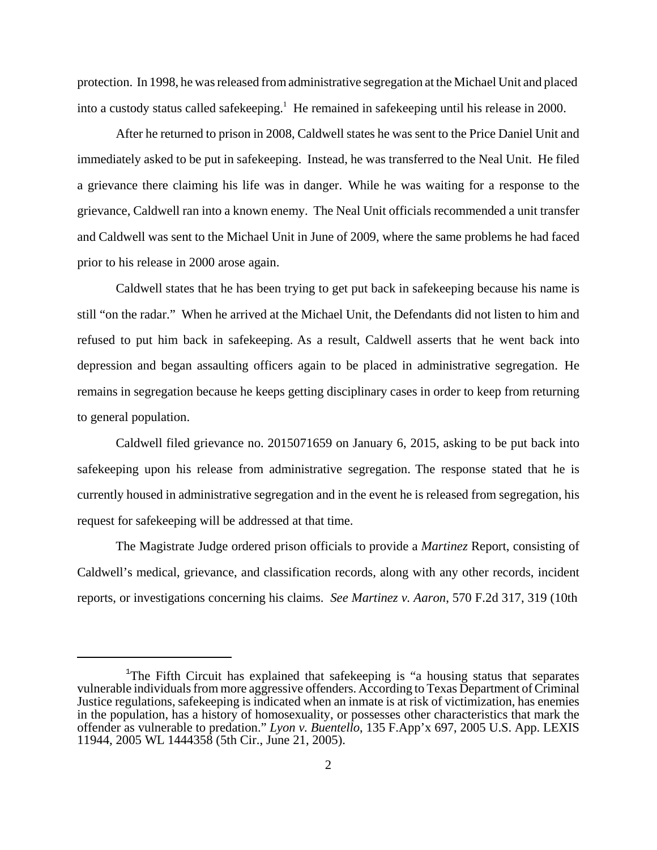protection. In 1998, he wasreleased fromadministrative segregation at the Michael Unit and placed into a custody status called safekeeping.<sup>1</sup> He remained in safekeeping until his release in 2000.

After he returned to prison in 2008, Caldwell states he was sent to the Price Daniel Unit and immediately asked to be put in safekeeping. Instead, he was transferred to the Neal Unit. He filed a grievance there claiming his life was in danger. While he was waiting for a response to the grievance, Caldwell ran into a known enemy. The Neal Unit officials recommended a unit transfer and Caldwell was sent to the Michael Unit in June of 2009, where the same problems he had faced prior to his release in 2000 arose again.

Caldwell states that he has been trying to get put back in safekeeping because his name is still "on the radar." When he arrived at the Michael Unit, the Defendants did not listen to him and refused to put him back in safekeeping. As a result, Caldwell asserts that he went back into depression and began assaulting officers again to be placed in administrative segregation. He remains in segregation because he keeps getting disciplinary cases in order to keep from returning to general population.

Caldwell filed grievance no. 2015071659 on January 6, 2015, asking to be put back into safekeeping upon his release from administrative segregation. The response stated that he is currently housed in administrative segregation and in the event he is released from segregation, his request for safekeeping will be addressed at that time.

The Magistrate Judge ordered prison officials to provide a *Martinez* Report, consisting of Caldwell's medical, grievance, and classification records, along with any other records, incident reports, or investigations concerning his claims. *See Martinez v. Aaron*, 570 F.2d 317, 319 (10th

<sup>&</sup>lt;sup>1</sup>The Fifth Circuit has explained that safekeeping is "a housing status that separates vulnerable individuals from more aggressive offenders. According to Texas Department of Criminal Justice regulations, safekeeping is indicated when an inmate is at risk of victimization, has enemies in the population, has a history of homosexuality, or possesses other characteristics that mark the offender as vulnerable to predation." *Lyon v. Buentello*, 135 F.App'x 697, 2005 U.S. App. LEXIS 11944, 2005 WL 1444358 (5th Cir., June 21, 2005).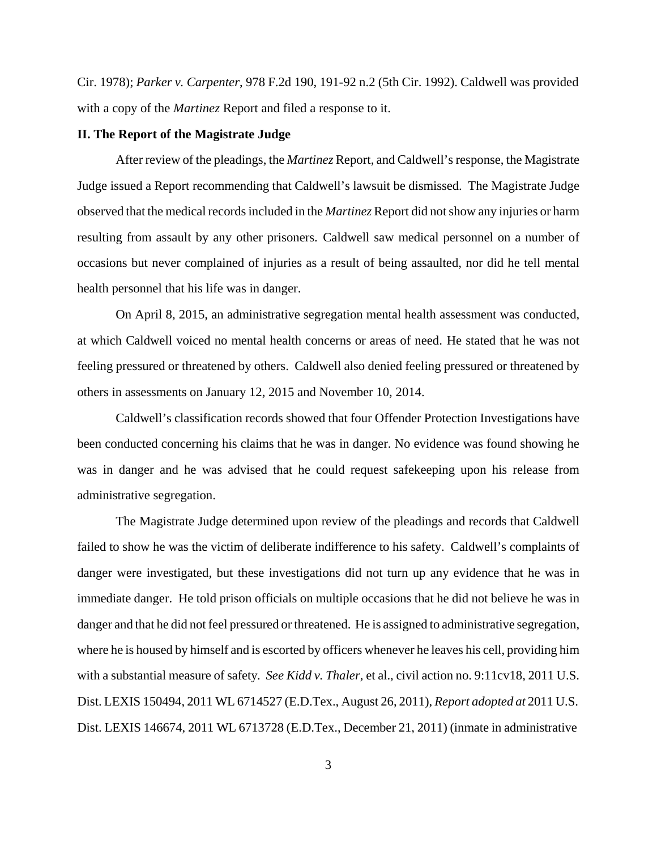Cir. 1978); *Parker v. Carpenter*, 978 F.2d 190, 191-92 n.2 (5th Cir. 1992). Caldwell was provided with a copy of the *Martinez* Report and filed a response to it.

#### **II. The Report of the Magistrate Judge**

After review of the pleadings, the *Martinez* Report, and Caldwell's response, the Magistrate Judge issued a Report recommending that Caldwell's lawsuit be dismissed. The Magistrate Judge observed that the medical records included in the *Martinez* Report did not show any injuries or harm resulting from assault by any other prisoners. Caldwell saw medical personnel on a number of occasions but never complained of injuries as a result of being assaulted, nor did he tell mental health personnel that his life was in danger.

On April 8, 2015, an administrative segregation mental health assessment was conducted, at which Caldwell voiced no mental health concerns or areas of need. He stated that he was not feeling pressured or threatened by others. Caldwell also denied feeling pressured or threatened by others in assessments on January 12, 2015 and November 10, 2014.

Caldwell's classification records showed that four Offender Protection Investigations have been conducted concerning his claims that he was in danger. No evidence was found showing he was in danger and he was advised that he could request safekeeping upon his release from administrative segregation.

The Magistrate Judge determined upon review of the pleadings and records that Caldwell failed to show he was the victim of deliberate indifference to his safety. Caldwell's complaints of danger were investigated, but these investigations did not turn up any evidence that he was in immediate danger. He told prison officials on multiple occasions that he did not believe he was in danger and that he did not feel pressured or threatened. He is assigned to administrative segregation, where he is housed by himself and is escorted by officers whenever he leaves his cell, providing him with a substantial measure of safety*. See Kidd v. Thaler*, et al., civil action no. 9:11cv18, 2011 U.S. Dist. LEXIS 150494, 2011 WL 6714527 (E.D.Tex., August 26, 2011), *Report adopted at* 2011 U.S. Dist. LEXIS 146674, 2011 WL 6713728 (E.D.Tex., December 21, 2011) (inmate in administrative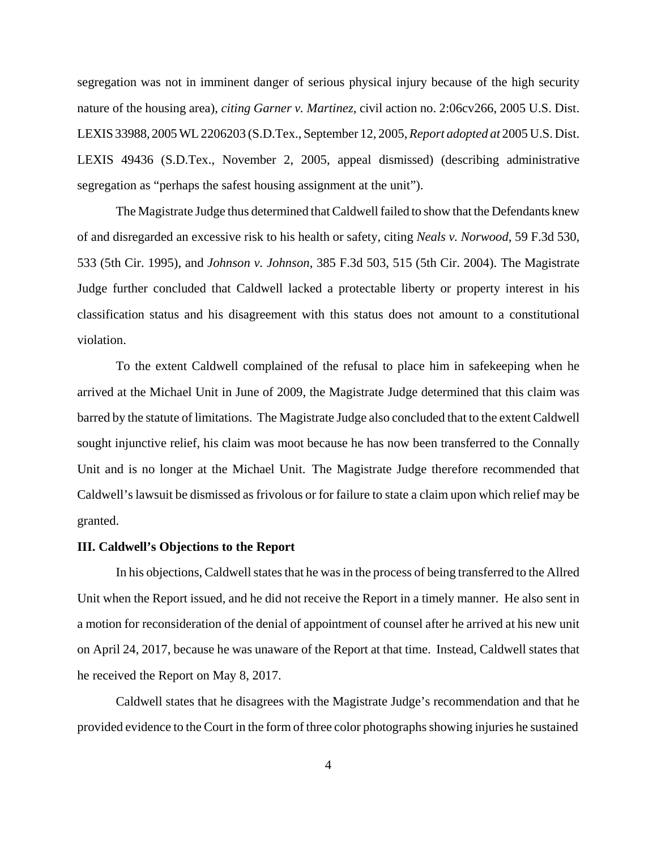segregation was not in imminent danger of serious physical injury because of the high security nature of the housing area), *citing Garner v. Martinez*, civil action no. 2:06cv266, 2005 U.S. Dist. LEXIS 33988, 2005WL 2206203 (S.D.Tex., September 12, 2005, *Report adopted at* 2005 U.S. Dist. LEXIS 49436 (S.D.Tex., November 2, 2005, appeal dismissed) (describing administrative segregation as "perhaps the safest housing assignment at the unit").

The Magistrate Judge thus determined that Caldwell failed to show that the Defendants knew of and disregarded an excessive risk to his health or safety, citing *Neals v. Norwood*, 59 F.3d 530, 533 (5th Cir. 1995), and *Johnson v. Johnson*, 385 F.3d 503, 515 (5th Cir. 2004). The Magistrate Judge further concluded that Caldwell lacked a protectable liberty or property interest in his classification status and his disagreement with this status does not amount to a constitutional violation.

To the extent Caldwell complained of the refusal to place him in safekeeping when he arrived at the Michael Unit in June of 2009, the Magistrate Judge determined that this claim was barred by the statute of limitations. The Magistrate Judge also concluded that to the extent Caldwell sought injunctive relief, his claim was moot because he has now been transferred to the Connally Unit and is no longer at the Michael Unit. The Magistrate Judge therefore recommended that Caldwell's lawsuit be dismissed as frivolous or for failure to state a claim upon which relief may be granted.

## **III. Caldwell's Objections to the Report**

In his objections, Caldwell states that he was in the process of being transferred to the Allred Unit when the Report issued, and he did not receive the Report in a timely manner. He also sent in a motion for reconsideration of the denial of appointment of counsel after he arrived at his new unit on April 24, 2017, because he was unaware of the Report at that time. Instead, Caldwell states that he received the Report on May 8, 2017.

Caldwell states that he disagrees with the Magistrate Judge's recommendation and that he provided evidence to the Court in the form of three color photographs showing injuries he sustained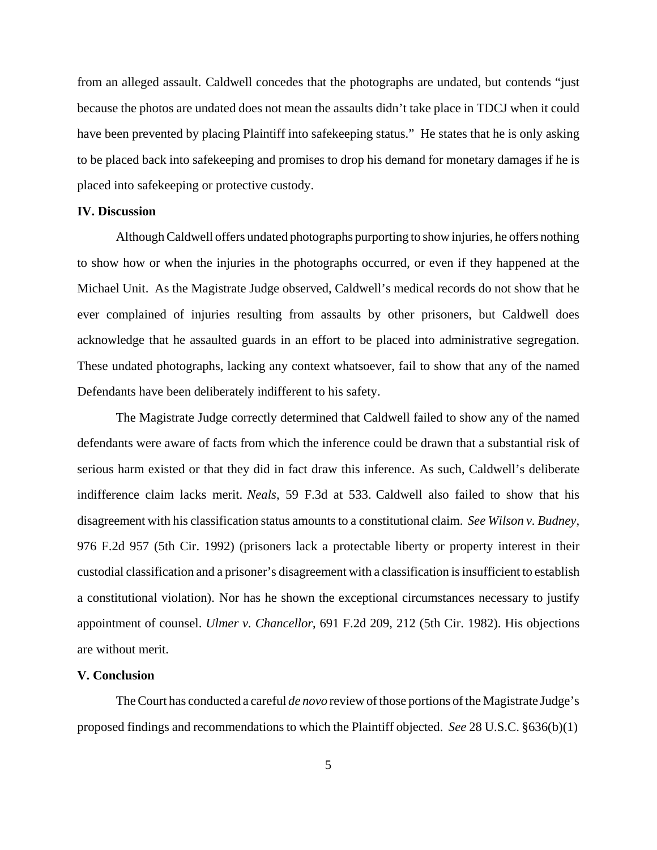from an alleged assault. Caldwell concedes that the photographs are undated, but contends "just because the photos are undated does not mean the assaults didn't take place in TDCJ when it could have been prevented by placing Plaintiff into safekeeping status." He states that he is only asking to be placed back into safekeeping and promises to drop his demand for monetary damages if he is placed into safekeeping or protective custody.

#### **IV. Discussion**

Although Caldwell offers undated photographs purporting to show injuries, he offers nothing to show how or when the injuries in the photographs occurred, or even if they happened at the Michael Unit. As the Magistrate Judge observed, Caldwell's medical records do not show that he ever complained of injuries resulting from assaults by other prisoners, but Caldwell does acknowledge that he assaulted guards in an effort to be placed into administrative segregation. These undated photographs, lacking any context whatsoever, fail to show that any of the named Defendants have been deliberately indifferent to his safety.

The Magistrate Judge correctly determined that Caldwell failed to show any of the named defendants were aware of facts from which the inference could be drawn that a substantial risk of serious harm existed or that they did in fact draw this inference. As such, Caldwell's deliberate indifference claim lacks merit. *Neals*, 59 F.3d at 533. Caldwell also failed to show that his disagreement with his classification status amounts to a constitutional claim. *See Wilson v. Budney*, 976 F.2d 957 (5th Cir. 1992) (prisoners lack a protectable liberty or property interest in their custodial classification and a prisoner's disagreement with a classification is insufficient to establish a constitutional violation). Nor has he shown the exceptional circumstances necessary to justify appointment of counsel. *Ulmer v. Chancellor*, 691 F.2d 209, 212 (5th Cir. 1982). His objections are without merit.

### **V. Conclusion**

TheCourt has conducted a careful *de novo* review of those portions of the Magistrate Judge's proposed findings and recommendations to which the Plaintiff objected. *See* 28 U.S.C. §636(b)(1)